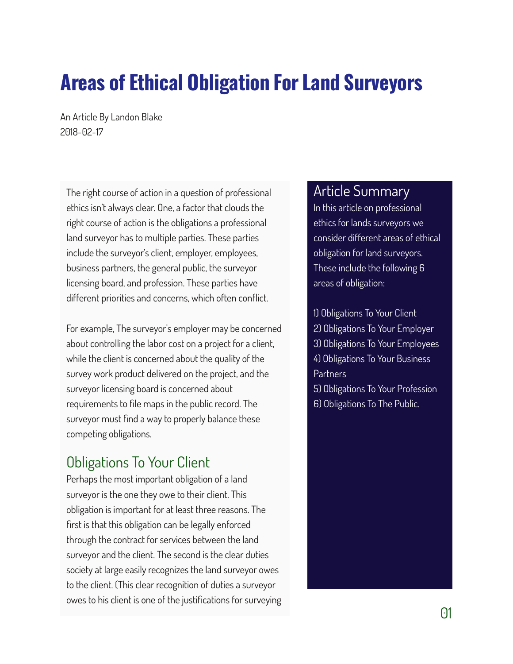# **Areas of Ethical Obligation For Land Surveyors**

An Article By Landon Blake 2018-02-17

The right course of action in a question of professional ethics isn't always clear. One, a factor that clouds the right course of action is the obligations a professional land surveyor has to multiple parties. These parties include the surveyor's client, employer, employees, business partners, the general public, the surveyor licensing board, and profession. These parties have different priorities and concerns, which often conflict.

For example, The surveyor's employer may be concerned about controlling the labor cost on a project for a client, while the client is concerned about the quality of the survey work product delivered on the project, and the surveyor licensing board is concerned about requirements to file maps in the public record. The surveyor must find a way to properly balance these competing obligations.

#### Obligations To Your Client

Perhaps the most important obligation of a land surveyor is the one they owe to their client. This obligation is important for at least three reasons. The first is that this obligation can be legally enforced through the contract for services between the land surveyor and the client. The second is the clear duties society at large easily recognizes the land surveyor owes to the client. (This clear recognition of duties a surveyor owes to his client is one of the justifications for surveying

#### Article Summary

In this article on professional ethics for lands surveyors we consider different areas of ethical obligation for land surveyors. These include the following 6 areas of obligation:

1) Obligations To Your Client 2) Obligations To Your Employer 3) Obligations To Your Employees 4) Obligations To Your Business **Partners** 5) Obligations To Your Profession 6) Obligations To The Public.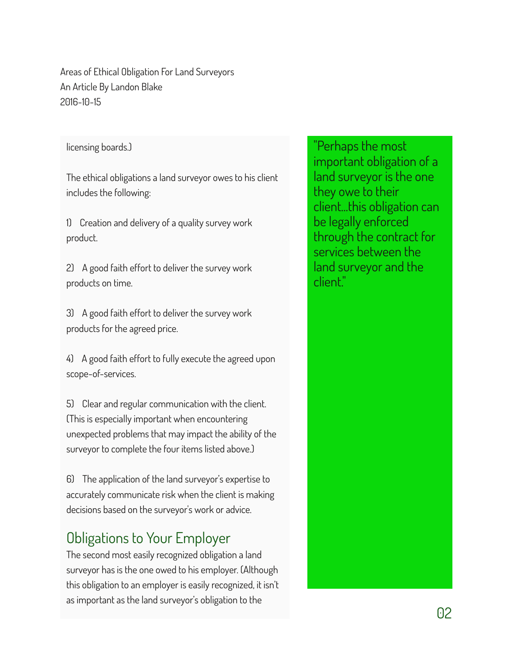licensing boards.)

The ethical obligations a land surveyor owes to his client includes the following:

1) Creation and delivery of a quality survey work product.

2) A good faith effort to deliver the survey work products on time.

3) A good faith effort to deliver the survey work products for the agreed price.

4) A good faith effort to fully execute the agreed upon scope-of-services.

5) Clear and regular communication with the client. (This is especially important when encountering unexpected problems that may impact the ability of the surveyor to complete the four items listed above.)

6) The application of the land surveyor's expertise to accurately communicate risk when the client is making decisions based on the surveyor's work or advice.

# Obligations to Your Employer

The second most easily recognized obligation a land surveyor has is the one owed to his employer. (Although this obligation to an employer is easily recognized, it isn't as important as the land surveyor's obligation to the

"Perhaps the most important obligation of a land surveyor is the one they owe to their client...this obligation can be legally enforced through the contract for services between the land surveyor and the client."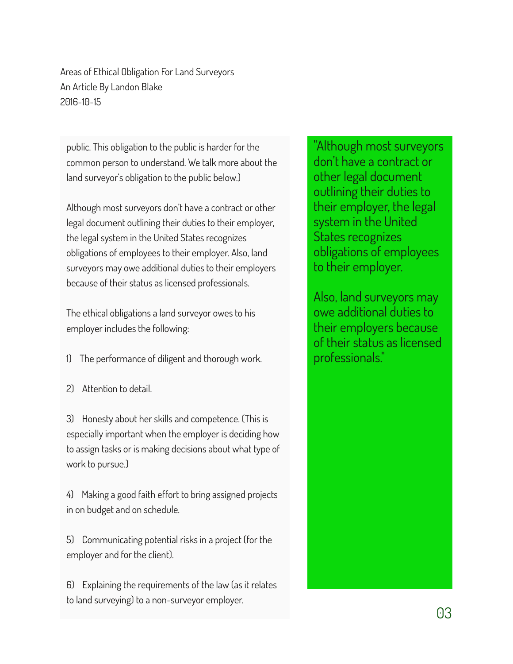public. This obligation to the public is harder for the common person to understand. We talk more about the land surveyor's obligation to the public below.)

Although most surveyors don't have a contract or other legal document outlining their duties to their employer, the legal system in the United States recognizes obligations of employees to their employer. Also, land surveyors may owe additional duties to their employers because of their status as licensed professionals.

The ethical obligations a land surveyor owes to his employer includes the following:

1) The performance of diligent and thorough work.

2) Attention to detail.

3) Honesty about her skills and competence. (This is especially important when the employer is deciding how to assign tasks or is making decisions about what type of work to pursue.)

4) Making a good faith effort to bring assigned projects in on budget and on schedule.

5) Communicating potential risks in a project (for the employer and for the client).

6) Explaining the requirements of the law (as it relates to land surveying) to a non-surveyor employer.

"Although most surveyors don't have a contract or other legal document outlining their duties to their employer, the legal system in the United States recognizes obligations of employees to their employer.

Also, land surveyors may owe additional duties to their employers because of their status as licensed professionals."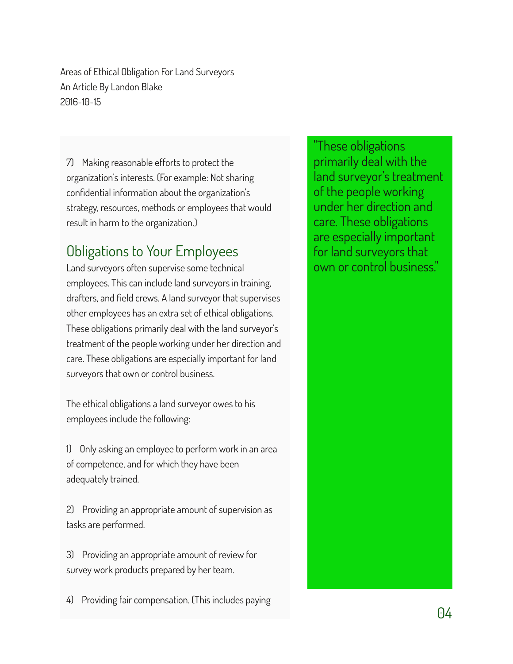7) Making reasonable efforts to protect the organization's interests. (For example: Not sharing confidential information about the organization's strategy, resources, methods or employees that would result in harm to the organization.)

## Obligations to Your Employees

Land surveyors often supervise some technical employees. This can include land surveyors in training, drafters, and field crews. A land surveyor that supervises other employees has an extra set of ethical obligations. These obligations primarily deal with the land surveyor's treatment of the people working under her direction and care. These obligations are especially important for land surveyors that own or control business.

The ethical obligations a land surveyor owes to his employees include the following:

1) Only asking an employee to perform work in an area of competence, and for which they have been adequately trained.

2) Providing an appropriate amount of supervision as tasks are performed.

3) Providing an appropriate amount of review for survey work products prepared by her team.

4) Providing fair compensation. (This includes paying

"These obligations primarily deal with the land surveyor's treatment of the people working under her direction and care. These obligations are especially important for land surveyors that own or control business."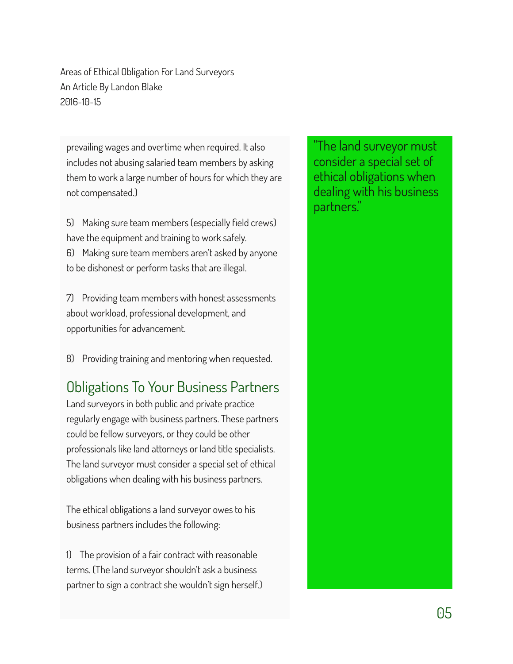prevailing wages and overtime when required. It also includes not abusing salaried team members by asking them to work a large number of hours for which they are not compensated.)

5) Making sure team members (especially field crews) have the equipment and training to work safely. 6) Making sure team members aren't asked by anyone to be dishonest or perform tasks that are illegal.

7) Providing team members with honest assessments about workload, professional development, and opportunities for advancement.

8) Providing training and mentoring when requested.

#### Obligations To Your Business Partners

Land surveyors in both public and private practice regularly engage with business partners. These partners could be fellow surveyors, or they could be other professionals like land attorneys or land title specialists. The land surveyor must consider a special set of ethical obligations when dealing with his business partners.

The ethical obligations a land surveyor owes to his business partners includes the following:

1) The provision of a fair contract with reasonable terms. (The land surveyor shouldn't ask a business partner to sign a contract she wouldn't sign herself.)

"The land surveyor must consider a special set of ethical obligations when dealing with his business partners."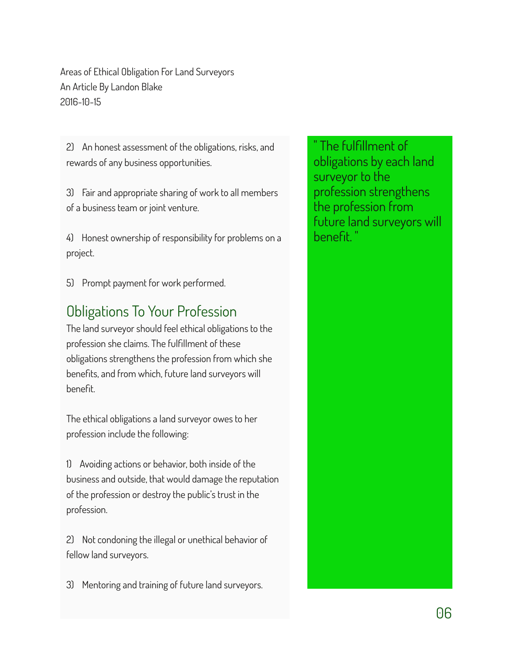2) An honest assessment of the obligations, risks, and rewards of any business opportunities.

3) Fair and appropriate sharing of work to all members of a business team or joint venture.

4) Honest ownership of responsibility for problems on a project.

5) Prompt payment for work performed.

### Obligations To Your Profession

The land surveyor should feel ethical obligations to the profession she claims. The fulfillment of these obligations strengthens the profession from which she benefits, and from which, future land surveyors will benefit.

The ethical obligations a land surveyor owes to her profession include the following:

1) Avoiding actions or behavior, both inside of the business and outside, that would damage the reputation of the profession or destroy the public's trust in the profession.

2) Not condoning the illegal or unethical behavior of fellow land surveyors.

3) Mentoring and training of future land surveyors.

The fulfillment of obligations by each land surveyor to the profession strengthens the profession from future land surveyors will benefit. "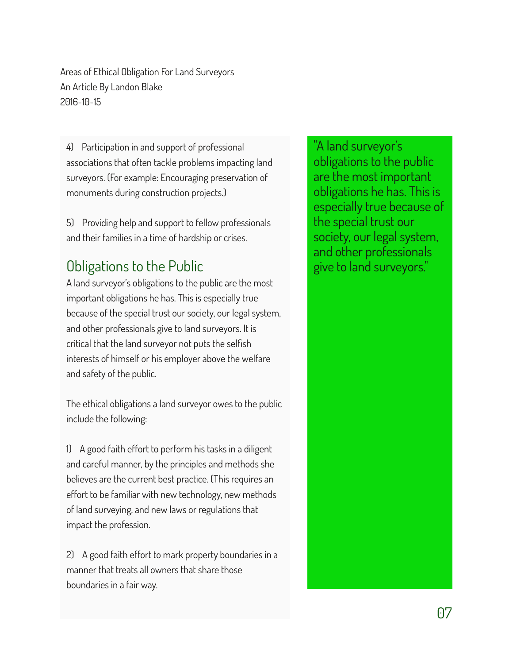4) Participation in and support of professional associations that often tackle problems impacting land surveyors. (For example: Encouraging preservation of monuments during construction projects.)

5) Providing help and support to fellow professionals and their families in a time of hardship or crises.

# Obligations to the Public

A land surveyor's obligations to the public are the most important obligations he has. This is especially true because of the special trust our society, our legal system, and other professionals give to land surveyors. It is critical that the land surveyor not puts the selfish interests of himself or his employer above the welfare and safety of the public.

The ethical obligations a land surveyor owes to the public include the following:

1) A good faith effort to perform his tasks in a diligent and careful manner, by the principles and methods she believes are the current best practice. (This requires an effort to be familiar with new technology, new methods of land surveying, and new laws or regulations that impact the profession.

2) A good faith effort to mark property boundaries in a manner that treats all owners that share those boundaries in a fair way.

"A land surveyor's obligations to the public are the most important obligations he has. This is especially true because of the special trust our society, our legal system, and other professionals give to land surveyors."